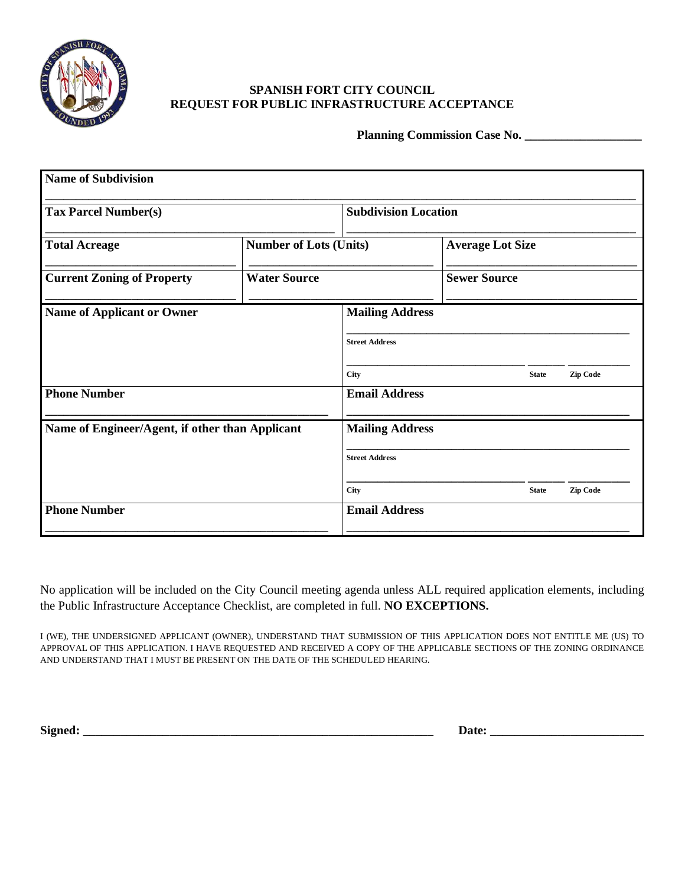

## **SPANISH FORT CITY COUNCIL REQUEST FOR PUBLIC INFRASTRUCTURE ACCEPTANCE**

**Planning Commission Case No. \_\_\_\_\_\_\_\_\_\_\_\_\_\_\_\_\_\_\_**

| <b>Name of Subdivision</b>                      |                               |                             |                     |                         |                 |  |
|-------------------------------------------------|-------------------------------|-----------------------------|---------------------|-------------------------|-----------------|--|
| <b>Tax Parcel Number(s)</b>                     |                               | <b>Subdivision Location</b> |                     |                         |                 |  |
| <b>Total Acreage</b>                            | <b>Number of Lots (Units)</b> |                             |                     | <b>Average Lot Size</b> |                 |  |
| <b>Current Zoning of Property</b>               | <b>Water Source</b>           |                             | <b>Sewer Source</b> |                         |                 |  |
| <b>Name of Applicant or Owner</b>               |                               | <b>Mailing Address</b>      |                     |                         |                 |  |
|                                                 |                               | <b>Street Address</b>       |                     |                         |                 |  |
|                                                 |                               | City                        |                     | <b>State</b>            | <b>Zip Code</b> |  |
| <b>Phone Number</b>                             |                               | <b>Email Address</b>        |                     |                         |                 |  |
| Name of Engineer/Agent, if other than Applicant |                               | <b>Mailing Address</b>      |                     |                         |                 |  |
|                                                 |                               | <b>Street Address</b>       |                     |                         |                 |  |
|                                                 |                               | City                        |                     | <b>State</b>            | <b>Zip Code</b> |  |
| <b>Phone Number</b>                             |                               | <b>Email Address</b>        |                     |                         |                 |  |

No application will be included on the City Council meeting agenda unless ALL required application elements, including the Public Infrastructure Acceptance Checklist, are completed in full. **NO EXCEPTIONS.**

I (WE), THE UNDERSIGNED APPLICANT (OWNER), UNDERSTAND THAT SUBMISSION OF THIS APPLICATION DOES NOT ENTITLE ME (US) TO APPROVAL OF THIS APPLICATION. I HAVE REQUESTED AND RECEIVED A COPY OF THE APPLICABLE SECTIONS OF THE ZONING ORDINANCE AND UNDERSTAND THAT I MUST BE PRESENT ON THE DATE OF THE SCHEDULED HEARING.

**Signed: \_\_\_\_\_\_\_\_\_\_\_\_\_\_\_\_\_\_\_\_\_\_\_\_\_\_\_\_\_\_\_\_\_\_\_\_\_\_\_\_\_\_\_\_\_\_\_\_\_\_\_\_\_\_\_\_\_ Date: \_\_\_\_\_\_\_\_\_\_\_\_\_\_\_\_\_\_\_\_\_\_\_\_\_**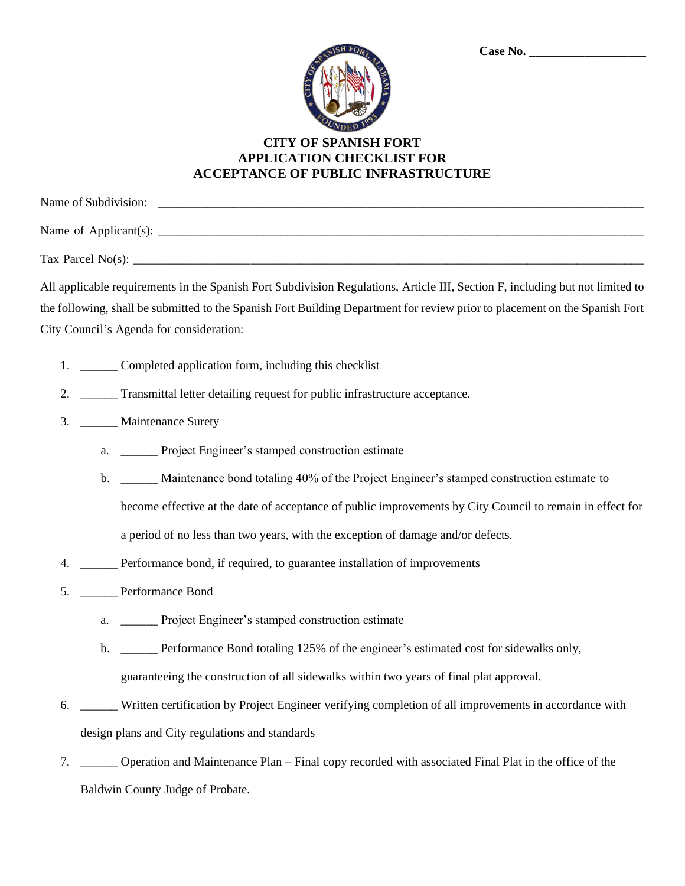| <b>ISH FORT</b> |  |
|-----------------|--|
|                 |  |
| ú               |  |
| ROU<br>Е        |  |

## **CITY OF SPANISH FORT APPLICATION CHECKLIST FOR ACCEPTANCE OF PUBLIC INFRASTRUCTURE**

Name of Subdivision: \_\_\_\_\_\_\_\_\_\_\_\_\_\_\_\_\_\_\_\_\_\_\_\_\_\_\_\_\_\_\_\_\_\_\_\_\_\_\_\_\_\_\_\_\_\_\_\_\_\_\_\_\_\_\_\_\_\_\_\_\_\_\_\_\_\_\_\_\_\_\_\_\_\_\_\_\_\_\_ Name of Applicant(s): \_\_\_\_\_\_\_\_\_\_\_\_\_\_\_\_\_\_\_\_\_\_\_\_\_\_\_\_\_\_\_\_\_\_\_\_\_\_\_\_\_\_\_\_\_\_\_\_\_\_\_\_\_\_\_\_\_\_\_\_\_\_\_\_\_\_\_\_\_\_\_\_\_\_\_\_\_\_\_ Tax Parcel No(s): \_\_\_\_\_\_\_\_\_\_\_\_\_\_\_\_\_\_\_\_\_\_\_\_\_\_\_\_\_\_\_\_\_\_\_\_\_\_\_\_\_\_\_\_\_\_\_\_\_\_\_\_\_\_\_\_\_\_\_\_\_\_\_\_\_\_\_\_\_\_\_\_\_\_\_\_\_\_\_\_\_\_\_

All applicable requirements in the Spanish Fort Subdivision Regulations, Article III, Section F, including but not limited to the following, shall be submitted to the Spanish Fort Building Department for review prior to placement on the Spanish Fort City Council's Agenda for consideration:

- 1. Completed application form, including this checklist
- 2. \_\_\_\_\_\_ Transmittal letter detailing request for public infrastructure acceptance.
- 3. \_\_\_\_\_\_ Maintenance Surety
	- a. Project Engineer's stamped construction estimate
	- b. \_\_\_\_\_\_ Maintenance bond totaling 40% of the Project Engineer's stamped construction estimate to become effective at the date of acceptance of public improvements by City Council to remain in effect for a period of no less than two years, with the exception of damage and/or defects.
- 4. \_\_\_\_\_\_ Performance bond, if required, to guarantee installation of improvements
- 5. \_\_\_\_\_\_ Performance Bond
	- a. \_\_\_\_\_\_ Project Engineer's stamped construction estimate
	- b. \_\_\_\_\_\_ Performance Bond totaling 125% of the engineer's estimated cost for sidewalks only, guaranteeing the construction of all sidewalks within two years of final plat approval.
- 6. \_\_\_\_\_\_ Written certification by Project Engineer verifying completion of all improvements in accordance with design plans and City regulations and standards
- 7. \_\_\_\_\_\_ Operation and Maintenance Plan Final copy recorded with associated Final Plat in the office of the Baldwin County Judge of Probate.